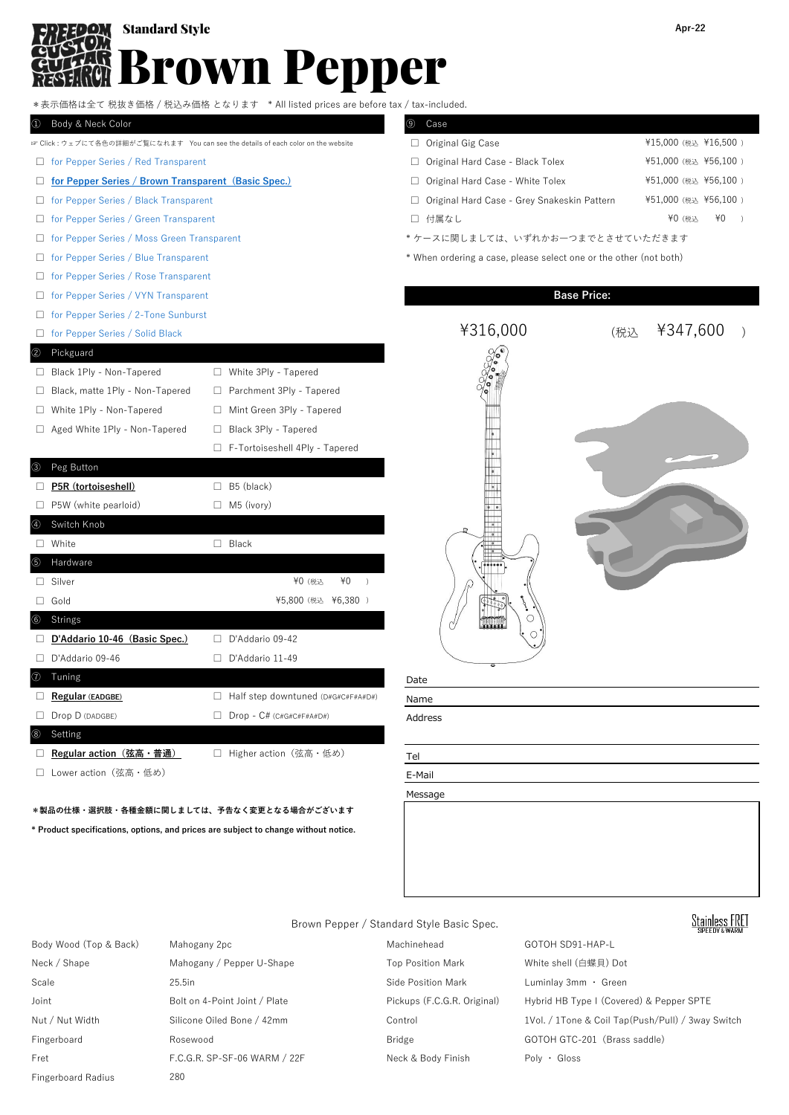# Brown Pepper **CM** Standard Style **Apr-22**

|                                                       | *表示価格は全て 税抜き価格 / 税込み価格 となります * All listed prices are before tax / tax-included.   |                                                                   |                      |
|-------------------------------------------------------|-----------------------------------------------------------------------------------|-------------------------------------------------------------------|----------------------|
| Body & Neck Color<br>$\left(1\right)$                 |                                                                                   | ⊛<br>Case                                                         |                      |
|                                                       | ☞ Click : ウェブにて各色の詳細がご覧になれます You can see the details of each color on the website | □ Original Gig Case                                               | ¥15,000 (税込 ¥16,500) |
| $\Box$ for Pepper Series / Red Transparent            |                                                                                   | Original Hard Case - Black Tolex<br>$\Box$                        | ¥51,000 (税込 ¥56,100) |
| □ for Pepper Series / Brown Transparent (Basic Spec.) |                                                                                   | □ Original Hard Case - White Tolex                                | ¥51,000 (税込 ¥56,100) |
| for Pepper Series / Black Transparent<br>⊔            |                                                                                   | Original Hard Case - Grey Snakeskin Pattern<br>$\Box$             | ¥51,000 (税込 ¥56,100) |
| for Pepper Series / Green Transparent<br>$\Box$       |                                                                                   | □ 付属なし                                                            | ¥0 (税込<br>¥0         |
| for Pepper Series / Moss Green Transparent<br>⊔       |                                                                                   | *ケースに関しましては、いずれかお一つまでとさせていただきます                                   |                      |
| for Pepper Series / Blue Transparent<br>ш             |                                                                                   | * When ordering a case, please select one or the other (not both) |                      |
| for Pepper Series / Rose Transparent<br>Ц             |                                                                                   |                                                                   |                      |
| for Pepper Series / VYN Transparent<br>ш              |                                                                                   | <b>Base Price:</b>                                                |                      |
| for Pepper Series / 2-Tone Sunburst<br>$\Box$         |                                                                                   |                                                                   |                      |
| for Pepper Series / Solid Black<br>⊔                  |                                                                                   | ¥316,000                                                          | ¥347,600<br>(税込      |
| Pickguard<br>$_{\rm (2)}$                             |                                                                                   |                                                                   |                      |
| □ Black 1Ply - Non-Tapered                            | □ White 3Ply - Tapered                                                            |                                                                   |                      |
| Black, matte 1Ply - Non-Tapered<br>⊔                  | Parchment 3Ply - Tapered<br>$\Box$                                                |                                                                   |                      |
| White 1Ply - Non-Tapered<br>ш                         | Mint Green 3Ply - Tapered<br>⊔                                                    |                                                                   |                      |
| Aged White 1Ply - Non-Tapered<br>ш                    | Black 3Ply - Tapered<br>$\Box$                                                    |                                                                   |                      |
|                                                       | F-Tortoiseshell 4Ply - Tapered                                                    |                                                                   |                      |
| Peg Button<br>(3)                                     |                                                                                   |                                                                   |                      |
| P5R (tortoiseshell)                                   | $\Box$ B5 (black)                                                                 |                                                                   |                      |
| $\Box$ P5W (white pearloid)                           | $\Box$ M5 (ivory)                                                                 |                                                                   |                      |
| Switch Knob<br>④                                      |                                                                                   |                                                                   |                      |
| $\Box$ White                                          | $\Box$ Black                                                                      |                                                                   |                      |
| Hardware<br>(5)                                       |                                                                                   |                                                                   |                      |
| $\Box$ Silver                                         | ¥0<br>¥0 (税込<br>$\rightarrow$                                                     |                                                                   |                      |
| $\Box$ Gold                                           | ¥5,800 (税込 ¥6,380 )                                                               |                                                                   |                      |
| <b>Strings</b><br>$_{\scriptscriptstyle{(6)}}$        |                                                                                   | С                                                                 |                      |
| D'Addario 10-46 (Basic Spec.)                         | $\Box$ D'Addario 09-42                                                            |                                                                   |                      |
| D'Addario 09-46                                       | $\Box$ D'Addario 11-49                                                            |                                                                   |                      |
| Tuning                                                |                                                                                   | Date                                                              |                      |
|                                                       |                                                                                   |                                                                   |                      |

□ **Regular (EADGBE)** □ Half step downtuned (D#G#C#F#A#D#) Name □ Drop D (DADGBE) □ Drop - C# (C#G#C#F#A#D#) Address

□ **Regular action (弦高・普通)** □ Higher action (弦高・低め) Tel

□ Lower action (弦高・低め) B-Mail

⑧ Setting

# **\*製品の仕様・選択肢・各種金額に関しましては、予告なく変更となる場合がございます**

**\* Product specifications, options, and prices are subject to change without notice.**



Message

# **Stainless FRET**

Brown Pepper / Standard Style Basic Spec.

- Body Wood (Top & Back) Mahogany 2pc Machinehead GOTOH SD91-HAP-L Neck / Shape Mahogany / Pepper U-Shape Top Position Mark White shell (白蝶貝) Dot Scale 25.5in 25.5in Scale 25.5in Side Position Mark Luminlay 3mm · Green Joint Bolt on 4-Point Joint / Plate Pickups (F.C.G.R. Original) Hybrid HB Type I (Covered) & Pepper SPTE Nut / Nut Width Silicone Oiled Bone / 42mm Control 1Vol. / 1Tone & Coil Tap(Push/Pull) / 3way Switch Fingerboard **Rosewood** Rosewood Bridge GOTOH GTC-201 (Brass saddle) Fret F.C.G.R. SP-SF-06 WARM / 22F Neck & Body Finish Poly · Gloss Fingerboard Radius 280
	-
-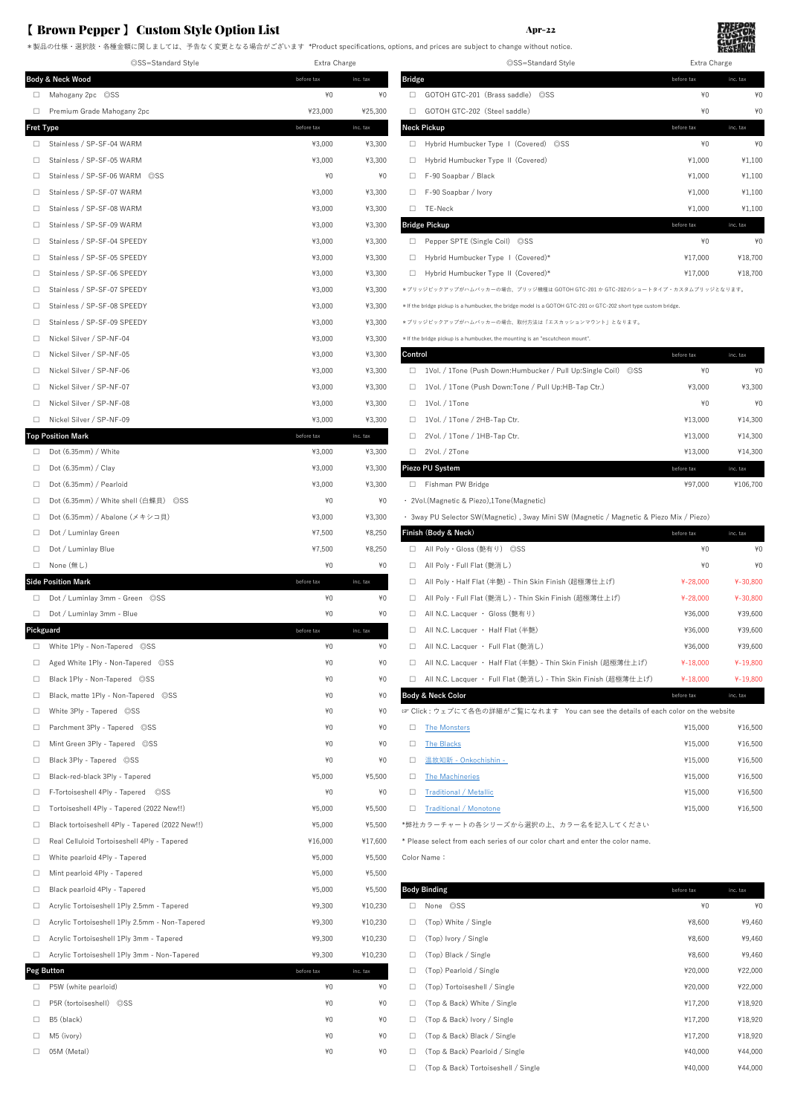### 【 Brown Pepper 】 Custom Style Option List Apr-22

|                  | ©SS=Standard Style                              | Extra Charge |          | ©SS=Standard Style                                                                                              | Extra Charge |          |
|------------------|-------------------------------------------------|--------------|----------|-----------------------------------------------------------------------------------------------------------------|--------------|----------|
|                  | Body & Neck Wood                                | before tax   | inc. tax | <b>Bridge</b>                                                                                                   | before tax   | inc. tax |
| $\Box$           | Mahogany 2pc ©SS                                | $*0$         | ¥0       | GOTOH GTC-201 (Brass saddle) ©SS<br>$\Box$                                                                      | $*0$         | ¥(       |
| $\Box$           | Premium Grade Mahogany 2pc                      | ¥23,000      | ¥25,300  | GOTOH GTC-202 (Steel saddle)<br>$\Box$                                                                          | $*0$         | ¥(       |
| <b>Fret Type</b> |                                                 | before tax   | inc. tax | <b>Neck Pickup</b>                                                                                              | before tax   | inc. tax |
| $\Box$           | Stainless / SP-SF-04 WARM                       | ¥3,000       | ¥3,300   | Hybrid Humbucker Type   (Covered) ©SS<br>$\Box$                                                                 | $*0$         | ¥(       |
| $\Box$           | Stainless / SP-SF-05 WARM                       | ¥3,000       | ¥3,300   | Hybrid Humbucker Type II (Covered)<br>$\Box$                                                                    | ¥1,000       | ¥1,100   |
| $\Box$           | Stainless / SP-SF-06 WARM ©SS                   | ¥0           | ¥0       | F-90 Soapbar / Black<br>$\Box$                                                                                  | ¥1,000       | ¥1,100   |
| $\Box$           | Stainless / SP-SF-07 WARM                       | ¥3,000       | ¥3,300   | F-90 Soapbar / Ivory<br>$\Box$                                                                                  | ¥1,000       | ¥1,100   |
| $\Box$           | Stainless / SP-SF-08 WARM                       | ¥3,000       | ¥3,300   | $\square$ TE-Neck                                                                                               | ¥1,000       | ¥1,100   |
| $\Box$           | Stainless / SP-SF-09 WARM                       | ¥3,000       | ¥3,300   | <b>Bridge Pickup</b>                                                                                            | before tax   | inc. tax |
| $\Box$           | Stainless / SP-SF-04 SPEEDY                     | ¥3,000       | ¥3,300   | □ Pepper SPTE (Single Coil) ◎SS                                                                                 | $*0$         | ¥(       |
| $\Box$           | Stainless / SP-SF-05 SPEEDY                     | ¥3,000       | ¥3,300   | □ Hybrid Humbucker Type I (Covered)*                                                                            | ¥17,000      | ¥18,700  |
| $\Box$           | Stainless / SP-SF-06 SPEEDY                     | ¥3,000       | ¥3,300   | Hybrid Humbucker Type II (Covered)*                                                                             | ¥17,000      | ¥18,700  |
| $\Box$           | Stainless / SP-SF-07 SPEEDY                     | ¥3,000       | ¥3,300   | *プリッジピックアップがハムバッカーの場合、プリッジ機種は GOTOH GTC-201 か GTC-202のショートタイプ・カスタムプリッジとなります。                                    |              |          |
| $\Box$           | Stainless / SP-SF-08 SPEEDY                     | ¥3,000       | ¥3,300   | * If the bridge pickup is a humbucker, the bridge model is a GOTOH GTC-201 or GTC-202 short type custom bridge. |              |          |
| $\Box$           | Stainless / SP-SF-09 SPEEDY                     | ¥3,000       | ¥3,300   | *プリッジピックアップがハムバッカーの場合、取付方法は「エスカッションマウント」となります。                                                                  |              |          |
| $\Box$           | Nickel Silver / SP-NF-04                        | ¥3,000       | ¥3,300   | * If the bridge pickup is a humbucker, the mounting is an "escutcheon mount".                                   |              |          |
| $\Box$           | Nickel Silver / SP-NF-05                        | ¥3,000       | ¥3,300   | Control                                                                                                         | before tax   | inc. tax |
| $\Box$           | Nickel Silver / SP-NF-06                        | ¥3,000       | ¥3,300   | □ 1Vol. / 1Tone (Push Down:Humbucker / Pull Up:Single Coil) ©SS                                                 | $*0$         | ¥(       |
| $\Box$           | Nickel Silver / SP-NF-07                        | ¥3,000       | ¥3,300   | □ 1Vol. / 1Tone (Push Down:Tone / Pull Up:HB-Tap Ctr.)                                                          | ¥3,000       | ¥3,300   |
| $\Box$           | Nickel Silver / SP-NF-08                        | ¥3,000       | ¥3,300   | $\Box$<br>1Vol. / 1Tone                                                                                         | ¥0           | ¥(       |
| $\Box$           | Nickel Silver / SP-NF-09                        | ¥3,000       | ¥3,300   | 1Vol. / 1Tone / 2HB-Tap Ctr.<br>$\Box$                                                                          | ¥13,000      | ¥14,300  |
|                  | <b>Top Position Mark</b>                        | before tax   | inc. tax | 2Vol. / 1Tone / 1HB-Tap Ctr.<br>$\Box$                                                                          | ¥13,000      | ¥14,300  |
| $\Box$           | Dot (6.35mm) / White                            | ¥3,000       | ¥3,300   | 2Vol. / 2Tone<br>$\Box$                                                                                         | ¥13,000      | ¥14,300  |
| $\Box$           | Dot $(6.35mm)$ / Clay                           | ¥3,000       | ¥3,300   | Piezo PU System                                                                                                 | before tax   | inc. tax |
| $\Box$           | Dot (6.35mm) / Pearloid                         | ¥3,000       | ¥3,300   | Fishman PW Bridge                                                                                               | ¥97,000      | ¥106,700 |
| $\Box$           | Dot (6.35mm) / White shell (白蝶貝) ©SS            | ¥0           | ¥0       | · 2Vol. (Magnetic & Piezo), 1Tone (Magnetic)                                                                    |              |          |
| $\Box$           | Dot (6.35mm) / Abalone (メキシコ貝)                  | ¥3,000       | ¥3,300   | · 3way PU Selector SW (Magnetic), 3way Mini SW (Magnetic / Magnetic & Piezo Mix / Piezo)                        |              |          |
| $\Box$           | Dot / Luminlay Green                            | ¥7,500       | ¥8,250   | Finish (Body & Neck)                                                                                            | before tax   | inc. tax |
| $\Box$           | Dot / Luminlay Blue                             | ¥7,500       | ¥8,250   | □ All Poly · Gloss (艶有り) ◎SS                                                                                    | $*0$         | ¥(       |
|                  | □ None (無し)                                     | ¥0           | $*0$     | All Poly・Full Flat (艶消し)<br>$\Box$                                                                              | $*0$         | ¥(       |
|                  | <b>Side Position Mark</b>                       | before tax   | inc. tax | - All Poly・Half Flat (半艶) - Thin Skin Finish (超極薄仕上げ)<br>$\Box$                                                 | $4 - 28,000$ | ¥-30,800 |
|                  | Dot / Luminlay 3mm - Green OSS                  | $*0$         | ¥0       | $\Box$<br>All Poly・Full Flat (艶消し) - Thin Skin Finish (超極薄仕上げ)                                                  | $4 - 28,000$ | ¥-30,800 |
|                  | Dot / Luminlay 3mm - Blue                       | ¥0           | ¥0       | All N.C. Lacquer · Gloss (艶有り)<br>$\Box$                                                                        | ¥36,000      | ¥39,600  |
| Pickguard        |                                                 | before tax   | inc. tax | All N.C. Lacquer · Half Flat (半艶)<br>$\Box$                                                                     | ¥36,000      | ¥39,600  |
|                  | □ White 1Ply - Non-Tapered ©SS                  | $*0$         | ¥0       | $\Box$<br>All N.C. Lacquer · Full Flat (艶消し)                                                                    | ¥36.000      | ¥39,600  |
| $\Box$           | Aged White 1Ply - Non-Tapered ©SS               | ¥0           | ¥0       | □ All N.C. Lacquer · Half Flat (半艶) - Thin Skin Finish (超極薄仕上げ)                                                 | ¥-18,000     | ¥-19,800 |
| $\Box$           | Black 1Ply - Non-Tapered ©SS                    | ¥0           | ¥0       | All N.C. Lacquer · Full Flat (艶消し) - Thin Skin Finish (超極薄仕上げ)<br>$\Box$                                        | $4 - 18,000$ | ¥-19,800 |
| $\Box$           | Black, matte 1Ply - Non-Tapered ©SS             | ¥0           | ¥0       | <b>Body &amp; Neck Color</b>                                                                                    | before tax   | inc. tax |
| $\Box$           | White 3Ply - Tapered ©SS                        | ¥0           | ¥0       | ☞ Click : ウェブにて各色の詳細がご覧になれます You can see the details of each color on the website                               |              |          |
| $\Box$           | Parchment 3Ply - Tapered ©SS                    | ¥0           | ¥0       | <b>E</b> The Monsters                                                                                           | ¥15,000      | ¥16,500  |
| $\Box$           | Mint Green 3Ply - Tapered ©SS                   | ¥0           | ¥0       | <b>The Blacks</b><br>$\Box$                                                                                     | ¥15,000      | ¥16,500  |
| $\Box$           | Black 3Ply - Tapered ©SS                        | ¥0           | ¥0       | 温故知新 - Onkochishin -<br>$\Box$                                                                                  | ¥15,000      | ¥16,500  |
| $\Box$           | Black-red-black 3Ply - Tapered                  | ¥5,000       | ¥5,500   | <b>The Machineries</b><br>$\Box$                                                                                | ¥15,000      | ¥16,500  |
| $\Box$           | F-Tortoiseshell 4Ply - Tapered ©SS              | ¥0           | ¥0       | <b>Traditional / Metallic</b><br>$\Box$                                                                         | ¥15,000      | ¥16,500  |
| $\Box$           | Tortoiseshell 4Ply - Tapered (2022 New!!)       | ¥5,000       | ¥5,500   | <b>Traditional / Monotone</b><br>$\Box$                                                                         | ¥15,000      | ¥16,500  |
| $\Box$           | Black tortoiseshell 4Ply - Tapered (2022 New!!) | ¥5,000       | ¥5,500   | *弊社カラーチャートの各シリーズから選択の上、カラー名を記入してください                                                                            |              |          |
| $\Box$           | Real Celluloid Tortoiseshell 4Ply - Tapered     | ¥16,000      | ¥17,600  | * Please select from each series of our color chart and enter the color name.                                   |              |          |
| $\Box$           | White pearloid 4Ply - Tapered                   | ¥5,000       | ¥5,500   | Color Name:                                                                                                     |              |          |
| $\Box$           | Mint pearloid 4Ply - Tapered                    | ¥5,000       | ¥5,500   |                                                                                                                 |              |          |
| $\Box$           | Black pearloid 4Ply - Tapered                   | ¥5,000       | ¥5,500   | <b>Body Binding</b>                                                                                             | before tax   | inc. tax |
| $\Box$           | Acrylic Tortoiseshell 1Ply 2.5mm - Tapered      | ¥9,300       | ¥10,230  | $\Box$<br>None  OSS                                                                                             | $*0$         | ¥(       |
| $\Box$           | Acrylic Tortoiseshell 1Ply 2.5mm - Non-Tapered  | ¥9,300       | ¥10,230  | (Top) White / Single<br>$\Box$                                                                                  | ¥8,600       | ¥9,460   |
| $\Box$           | Acrylic Tortoiseshell 1Ply 3mm - Tapered        | ¥9,300       | ¥10,230  | $\Box$<br>(Top) Ivory / Single                                                                                  | ¥8,600       | ¥9,460   |
| $\Box$           | Acrylic Tortoiseshell 1Ply 3mm - Non-Tapered    | ¥9,300       | ¥10,230  | (Top) Black / Single<br>$\Box$                                                                                  | ¥8,600       | ¥9,460   |
|                  | <b>Peg Button</b>                               | before tax   | inc. tax | (Top) Pearloid / Single<br>$\Box$                                                                               | ¥20,000      | ¥22,000  |
| $\Box$           | P5W (white pearloid)                            | ¥0           | $*0$     | (Top) Tortoiseshell / Single<br>$\Box$                                                                          | ¥20,000      | ¥22,000  |
| $\Box$           | P5R (tortoiseshell) ©SS                         | ¥0           | ¥0       | $\Box$<br>(Top & Back) White / Single                                                                           | ¥17,200      | ¥18,920  |
| $\Box$           | B5 (black)                                      | ¥0           | ¥0       | $\Box$<br>(Top & Back) Ivory / Single                                                                           | ¥17,200      | ¥18,920  |
| $\Box$           | M5 (ivory)                                      | ¥0           | ¥0       | (Top & Back) Black / Single<br>$\Box$                                                                           | ¥17,200      | ¥18,920  |
|                  | $\Box$ 05M (Metal)                              | ¥Ū           | ¥∩       | T (Ton & Rack) Pearloid / Single                                                                                | ¥40,000      | ¥44 000  |

\*製品の仕様・選択肢・各種金額に関しましては、予告なく変更となる場合がございます \*Product specifications, options, and prices are subject to change without notice.

◎SS=Standard Style Extra Charge ◎SS=Standard Style Extra Charge

| ody & Neck Wood                     | before tax | inc. tax | <b>Bridge</b> |                                         | before tax | inc. tax |
|-------------------------------------|------------|----------|---------------|-----------------------------------------|------------|----------|
| □ Mahogany 2pc ©SS                  | ¥0         | $*0$     | П.            | GOTOH GTC-201 (Brass saddle) ©SS        | $*0$       | $*0$     |
| Premium Grade Mahogany 2pc          | ¥23.000    | ¥25,300  | n.            | GOTOH GTC-202 (Steel saddle)            | ¥0         | $*0$     |
| et Type                             | before tax | inc. tax |               | <b>Neck Pickup</b>                      | before tax | inc. tax |
| Stainless / SP-SF-04 WARM<br>П.     | ¥3,000     | ¥3,300   |               | □ Hybrid Humbucker Type   (Covered) ◎SS | ¥0         | $*0$     |
| Stainless / SP-SF-05 WARM<br>П.     | ¥3,000     | ¥3,300   |               | Hybrid Humbucker Type II (Covered)      | ¥1,000     | ¥1,100   |
| Stainless / SP-SF-06 WARM ©SS<br>П. | $*0$       | $*0$     | □.            | F-90 Soapbar / Black                    | ¥1,000     | ¥1,100   |
| Stainless / SP-SF-07 WARM<br>П.     | ¥3,000     | ¥3,300   |               | F-90 Soapbar / Ivory                    | ¥1,000     | ¥1,100   |
| Stainless / SP-SF-08 WARM<br>П.     | ¥3,000     | ¥3,300   | П.            | TE-Neck                                 | ¥1,000     | ¥1,100   |
| Stainless / SP-SF-09 WARM<br>П.     | ¥3,000     | ¥3,300   |               | <b>Bridge Pickup</b>                    | before tax | inc. tax |
| Stainless / SP-SF-04 SPEEDY<br>П.   | ¥3,000     | ¥3,300   | □.            | Pepper SPTE (Single Coil) OSS           | ¥0         | $*0$     |
| Stainless / SP-SF-05 SPEEDY<br>П.   | ¥3,000     | ¥3,300   |               | Hybrid Humbucker Type I (Covered)*      | ¥17,000    | ¥18,700  |
| Stainless / SP-SF-06 SPEEDY<br>П.   | ¥3,000     | ¥3,300   | □.            | Hybrid Humbucker Type II (Covered)*     | ¥17,000    | ¥18,700  |

| Control |                                                           |            | before tax | inc. tax |  |  |  |  |
|---------|-----------------------------------------------------------|------------|------------|----------|--|--|--|--|
| ш       | 1Vol. / 1Tone (Push Down:Humbucker / Pull Up:Single Coil) | $\circ$ SS | ¥0         | ¥0       |  |  |  |  |
| п       | 1Vol. / 1Tone (Push Down:Tone / Pull Up:HB-Tap Ctr.)      |            | ¥3.000     | ¥3.300   |  |  |  |  |
|         | 1Vol. / 1Tone                                             |            | ¥0         | $*0$     |  |  |  |  |
| ш       | 1Vol. / 1Tone / 2HB-Tap Ctr.                              |            | ¥13.000    | ¥14.300  |  |  |  |  |
| п       | 2Vol. / 1Tone / 1HB-Tap Ctr.                              |            | ¥13.000    | ¥14.300  |  |  |  |  |
| п       | 2Vol. / 2Tone                                             |            | ¥13.000    | ¥14.300  |  |  |  |  |
|         | Piezo PU System                                           |            | before tax | inc. tax |  |  |  |  |
| FΙ      | Fishman PW Bridge                                         |            | ¥97.000    | ¥106.700 |  |  |  |  |
|         | · 2Vol. (Magnetic & Piezo).1Tone (Magnetic)               |            |            |          |  |  |  |  |

|              | inish (Body & Neck)                                            | before tax   | inc. tax     |
|--------------|----------------------------------------------------------------|--------------|--------------|
| $\mathbf{L}$ | All Poly・Gloss (艶有り) ◎SS                                       | ¥0           | ¥0           |
| ш            | All Polv・Full Flat (艶消し)                                       | ¥0           | ¥O           |
| ш            | All Poly · Half Flat (半艶) - Thin Skin Finish (超極薄仕上げ)          | $4 - 28.000$ | $4 - 30.800$ |
| $\mathbf{L}$ | All Poly · Full Flat (艶消し) - Thin Skin Finish (超極薄仕上げ)         | $4 - 28.000$ | $4 - 30.800$ |
| $\perp$      | All N.C. Lacquer · Gloss (艶有り)                                 | ¥36,000      | ¥39.600      |
| $\mathbf{L}$ | All N.C. Lacquer · Half Flat (半艶)                              | ¥36,000      | ¥39.600      |
| П            | All N.C. Lacquer · Full Flat (艶消し)                             | ¥36,000      | ¥39.600      |
| $\mathbf{L}$ | All N.C. Lacquer · Half Flat (半艶) - Thin Skin Finish (超極薄仕上げ)  | $4 - 18,000$ | $4 - 19,800$ |
| n.           | All N.C. Lacquer · Full Flat (艶消し) - Thin Skin Finish (超極薄仕上げ) | $4 - 18,000$ | ¥-19.800     |
|              | $\blacksquare$                                                 |              |              |

| <b>The Monsters</b>    | ¥15.000 | ¥16.500 |
|------------------------|---------|---------|
| The Blacks             | ¥15.000 | ¥16,500 |
| 温故知新 - Onkochishin -   | ¥15.000 | ¥16,500 |
| The Machineries        | ¥15.000 | ¥16.500 |
| Traditional / Metallic | ¥15.000 | ¥16,500 |
| Traditional / Monotone | ¥15.000 | ¥16.500 |
|                        |         |         |

|        | $\Box$ ivility peations $4F1y - T$ aperest       | TJ,UUU     | TJ,JUU   |        |                                     |            |          |
|--------|--------------------------------------------------|------------|----------|--------|-------------------------------------|------------|----------|
| П.     | Black pearloid 4Ply - Tapered                    | ¥5,000     | ¥5,500   |        | <b>Body Binding</b>                 | before tax | inc. tax |
|        | □ Acrylic Tortoiseshell 1Ply 2.5mm - Tapered     | ¥9,300     | ¥10,230  | $\Box$ | None OSS                            | $*0$       | $*0$     |
|        | □ Acrylic Tortoiseshell 1Ply 2.5mm - Non-Tapered | ¥9,300     | ¥10,230  | $\Box$ | (Top) White / Single                | ¥8,600     | ¥9,460   |
| $\Box$ | Acrylic Tortoiseshell 1Ply 3mm - Tapered         | ¥9,300     | ¥10,230  | $\Box$ | (Top) Ivory / Single                | ¥8,600     | ¥9,460   |
|        | □ Acrylic Tortoiseshell 1Ply 3mm - Non-Tapered   | ¥9,300     | ¥10,230  | $\Box$ | (Top) Black / Single                | ¥8,600     | ¥9,460   |
|        | eg Button                                        | before tax | inc. tax | □      | (Top) Pearloid / Single             | ¥20,000    | ¥22,000  |
| П.     | P5W (white pearloid)                             | ¥0         | $*0$     |        | (Top) Tortoiseshell / Single        | ¥20,000    | ¥22,000  |
| П.     | P5R (tortoiseshell) OSS                          | ¥0         | $*0$     | □      | (Top & Back) White / Single         | ¥17,200    | ¥18,920  |
| П.     | B5 (black)                                       | ¥0         | $*0$     | □      | (Top & Back) Ivory / Single         | ¥17,200    | ¥18,920  |
| П.     | M5 (ivory)                                       | ¥0         | $*0$     |        | (Top & Back) Black / Single         | ¥17,200    | ¥18,920  |
| П.     | 05M (Metal)                                      | ¥0         | $*0$     |        | (Top & Back) Pearloid / Single      | ¥40,000    | ¥44,000  |
|        |                                                  |            |          |        | (Top & Back) Tortoiseshell / Single | ¥40,000    | ¥44,000  |